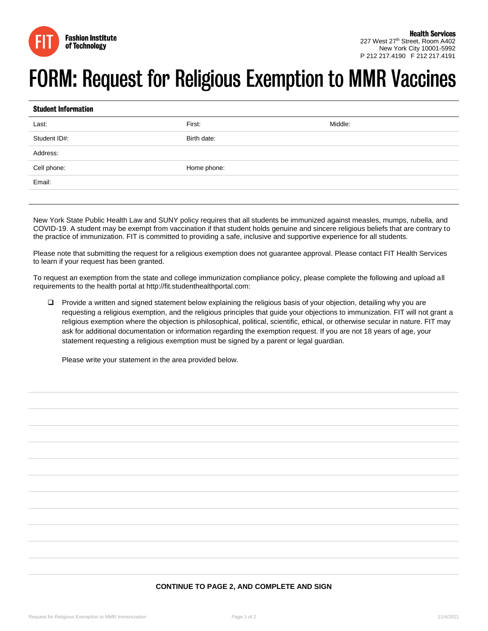

## **FORM: Request for Religious Exemption to MMR Vaccines**

| <b>Student Information</b>     |             |         |  |  |
|--------------------------------|-------------|---------|--|--|
| Last:                          | First:      | Middle: |  |  |
| Student ID#:                   | Birth date: |         |  |  |
| and the control of<br>Address: |             |         |  |  |
| Cell phone:                    | Home phone: |         |  |  |
| $\sim$ 100 $\mu$<br>Email:     |             |         |  |  |
|                                |             |         |  |  |

New York State Public Health Law and SUNY policy requires that all students be immunized against measles, mumps, rubella, and COVID-19. A student may be exempt from vaccination if that student holds genuine and sincere religious beliefs that are contrary to the practice of immunization. FIT is committed to providing a safe, inclusive and supportive experience for all students.

Please note that submitting the request for a religious exemption does not guarantee approval. Please contact FIT Health Services to learn if your request has been granted.

To request an exemption from the state and college immunization compliance policy, please complete the following and upload all requirements to the health portal at http://fit.studenthealthportal.com:

 Provide a written and signed statement below explaining the religious basis of your objection, detailing why you are requesting a religious exemption, and the religious principles that guide your objections to immunization. FIT will not grant a religious exemption where the objection is philosophical, political, scientific, ethical, or otherwise secular in nature. FIT may ask for additional documentation or information regarding the exemption request. If you are not 18 years of age, your statement requesting a religious exemption must be signed by a parent or legal guardian.

Please write your statement in the area provided below.

## **CONTINUE TO PAGE 2, AND COMPLETE AND SIGN**